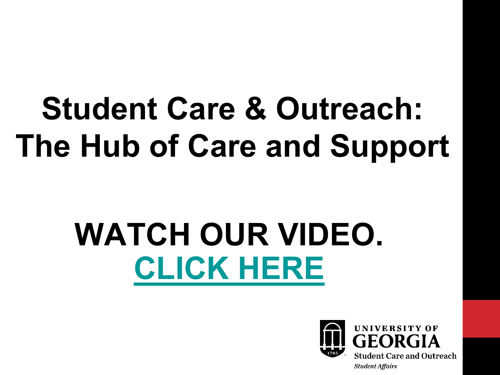# **Student Care & Outreach: The Hub of Care and Support**

# **WATCH OUR VIDEO. [CLICK HERE](https://www.youtube.com/watch?v=0xFe4UO-oQQ&feature=youtu.be)**

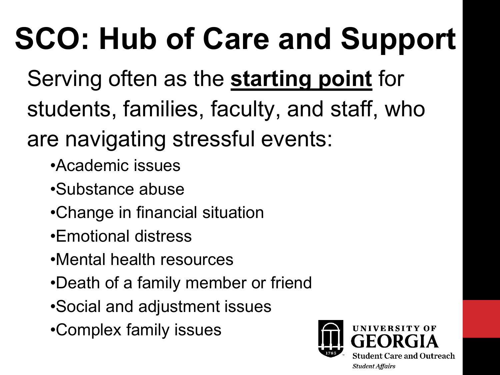# **SCO: Hub of Care and Support**

- Serving often as the **starting point** for students, families, faculty, and staff, who
- are navigating stressful events:
	- •Academic issues
	- •Substance abuse
	- •Change in financial situation
	- •Emotional distress
	- •Mental health resources
	- •Death of a family member or friend
	- •Social and adjustment issues
	- •Complex family issues

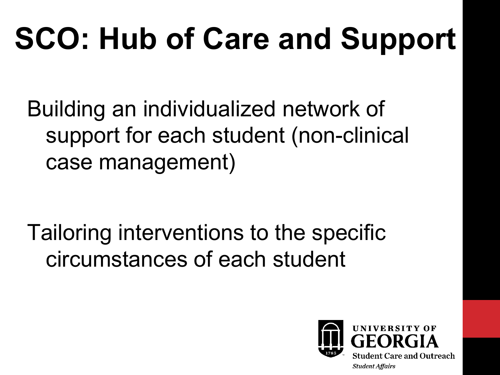# **SCO: Hub of Care and Support**

Building an individualized network of support for each student (non-clinical case management)

Tailoring interventions to the specific circumstances of each student

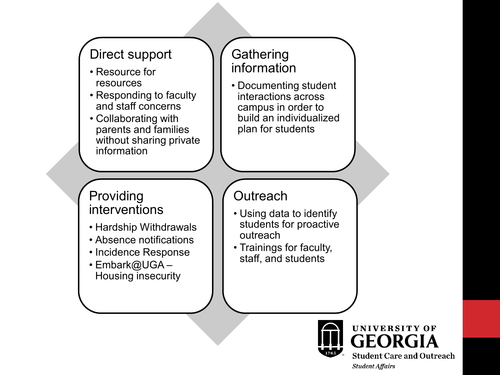

**Student Care and Outreach Student Affairs**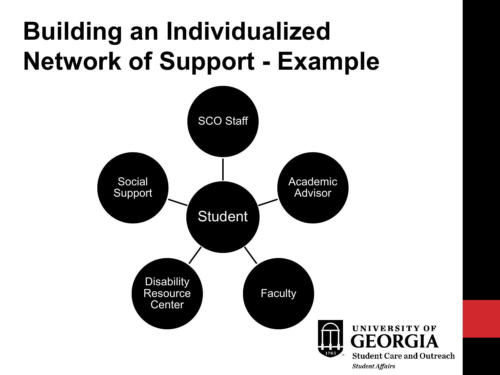### **Building an Individualized Network of Support - Example**

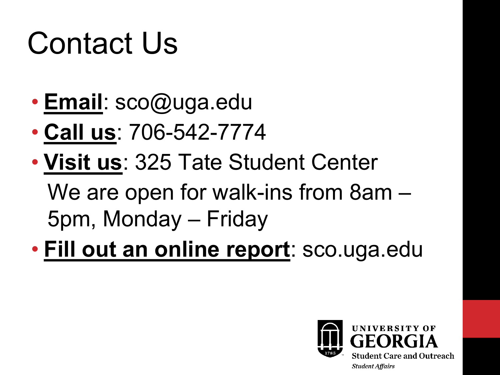## Contact Us

- **Email**: sco@uga.edu
- **Call us**: 706-542-7774
- **Visit us**: 325 Tate Student Center We are open for walk-ins from 8am – 5pm, Monday – Friday
- **Fill out an online report**: sco.uga.edu